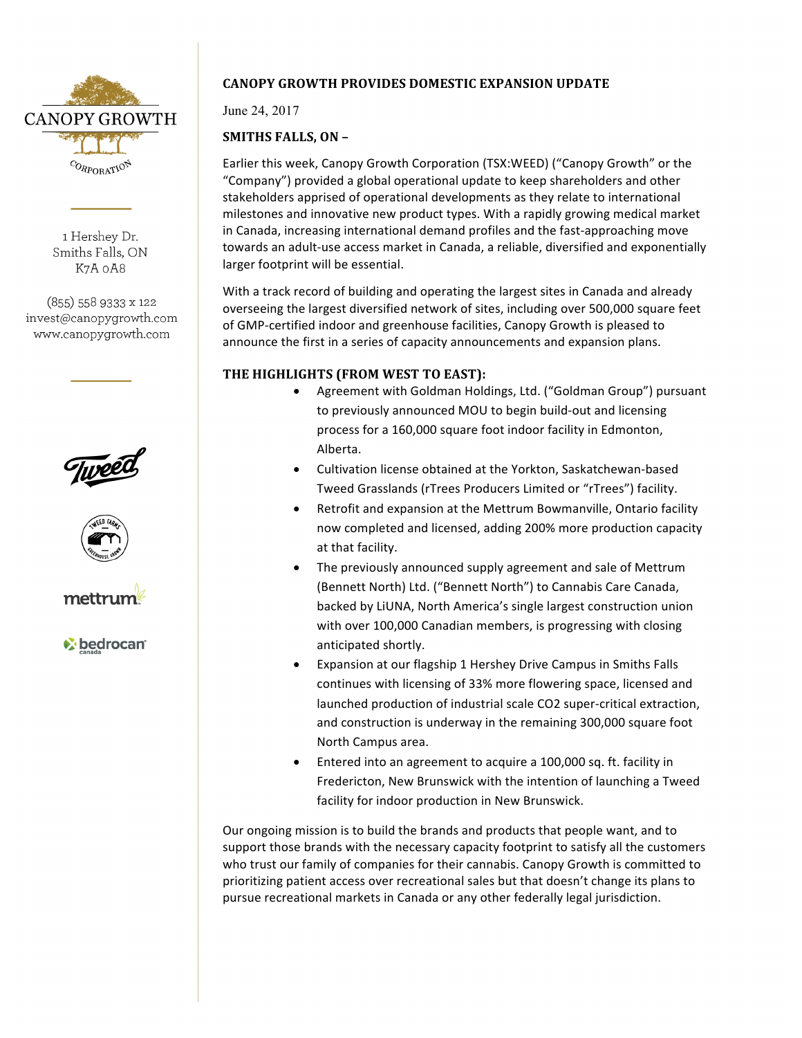

1 Hershev Dr. Smiths Falls, ON K7A oA8

(855) 558 9333 x 122 invest@canopygrowth.com www.canopygrowth.com







*V* bedrocan

## **CANOPY GROWTH PROVIDES DOMESTIC EXPANSION UPDATE**

June 24, 2017

# **SMITHS FALLS, ON -**

Earlier this week, Canopy Growth Corporation (TSX:WEED) ("Canopy Growth" or the "Company") provided a global operational update to keep shareholders and other stakeholders apprised of operational developments as they relate to international milestones and innovative new product types. With a rapidly growing medical market in Canada, increasing international demand profiles and the fast-approaching move towards an adult-use access market in Canada, a reliable, diversified and exponentially larger footprint will be essential.

With a track record of building and operating the largest sites in Canada and already overseeing the largest diversified network of sites, including over 500,000 square feet of GMP-certified indoor and greenhouse facilities, Canopy Growth is pleased to announce the first in a series of capacity announcements and expansion plans.

## THE HIGHLIGHTS (FROM WEST TO EAST):

- Agreement with Goldman Holdings, Ltd. ("Goldman Group") pursuant to previously announced MOU to begin build-out and licensing process for a 160,000 square foot indoor facility in Edmonton, Alberta.
- Cultivation license obtained at the Yorkton, Saskatchewan-based Tweed Grasslands (rTrees Producers Limited or "rTrees") facility.
- Retrofit and expansion at the Mettrum Bowmanville, Ontario facility now completed and licensed, adding 200% more production capacity at that facility.
- The previously announced supply agreement and sale of Mettrum (Bennett North) Ltd. ("Bennett North") to Cannabis Care Canada, backed by LiUNA, North America's single largest construction union with over 100,000 Canadian members, is progressing with closing anticipated shortly.
- Expansion at our flagship 1 Hershey Drive Campus in Smiths Falls continues with licensing of 33% more flowering space, licensed and launched production of industrial scale CO2 super-critical extraction, and construction is underway in the remaining 300,000 square foot North Campus area.
- Entered into an agreement to acquire a 100,000 sq. ft. facility in Fredericton, New Brunswick with the intention of launching a Tweed facility for indoor production in New Brunswick.

Our ongoing mission is to build the brands and products that people want, and to support those brands with the necessary capacity footprint to satisfy all the customers who trust our family of companies for their cannabis. Canopy Growth is committed to prioritizing patient access over recreational sales but that doesn't change its plans to pursue recreational markets in Canada or any other federally legal jurisdiction.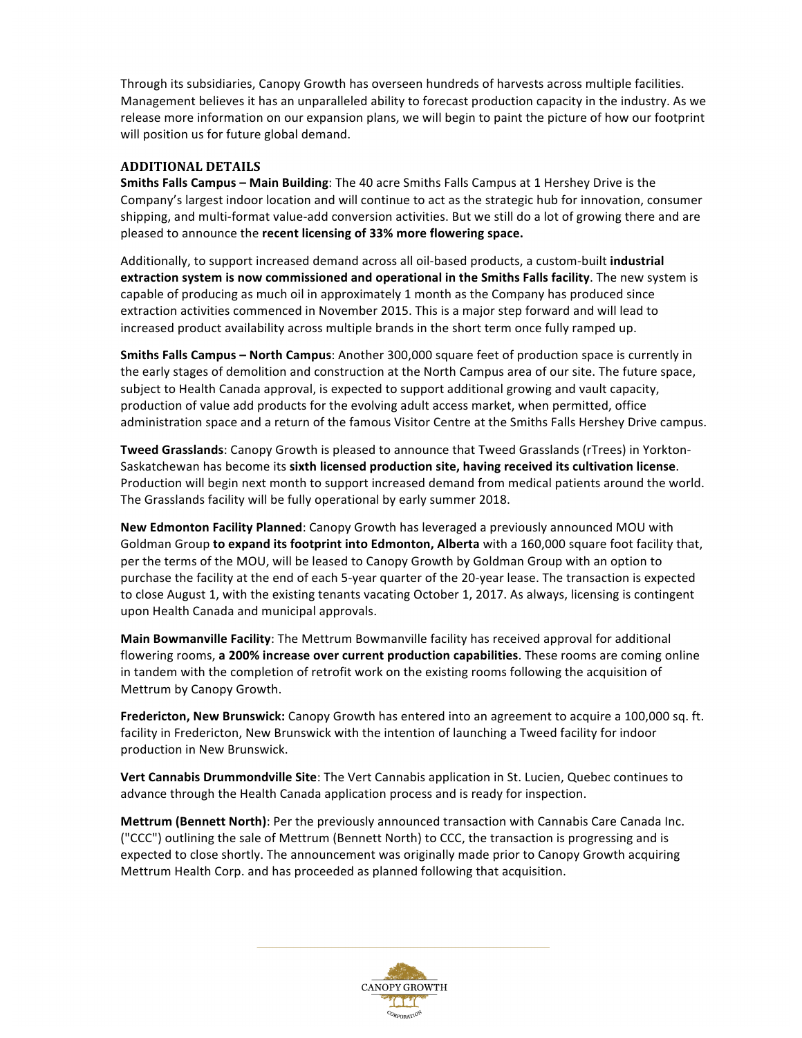Through its subsidiaries, Canopy Growth has overseen hundreds of harvests across multiple facilities. Management believes it has an unparalleled ability to forecast production capacity in the industry. As we release more information on our expansion plans, we will begin to paint the picture of how our footprint will position us for future global demand.

### **ADDITIONAL DETAILS**

**Smiths Falls Campus – Main Building**: The 40 acre Smiths Falls Campus at 1 Hershey Drive is the Company's largest indoor location and will continue to act as the strategic hub for innovation, consumer shipping, and multi-format value-add conversion activities. But we still do a lot of growing there and are pleased to announce the recent licensing of 33% more flowering space.

Additionally, to support increased demand across all oil-based products, a custom-built **industrial** extraction system is now commissioned and operational in the Smiths Falls facility. The new system is capable of producing as much oil in approximately 1 month as the Company has produced since extraction activities commenced in November 2015. This is a major step forward and will lead to increased product availability across multiple brands in the short term once fully ramped up.

**Smiths Falls Campus – North Campus:** Another 300,000 square feet of production space is currently in the early stages of demolition and construction at the North Campus area of our site. The future space, subject to Health Canada approval, is expected to support additional growing and vault capacity, production of value add products for the evolving adult access market, when permitted, office administration space and a return of the famous Visitor Centre at the Smiths Falls Hershey Drive campus.

**Tweed Grasslands**: Canopy Growth is pleased to announce that Tweed Grasslands (rTrees) in Yorkton-Saskatchewan has become its sixth licensed production site, having received its cultivation license. Production will begin next month to support increased demand from medical patients around the world. The Grasslands facility will be fully operational by early summer 2018.

**New Edmonton Facility Planned:** Canopy Growth has leveraged a previously announced MOU with Goldman Group to expand its footprint into Edmonton, Alberta with a 160,000 square foot facility that, per the terms of the MOU, will be leased to Canopy Growth by Goldman Group with an option to purchase the facility at the end of each 5-year quarter of the 20-year lease. The transaction is expected to close August 1, with the existing tenants vacating October 1, 2017. As always, licensing is contingent upon Health Canada and municipal approvals.

**Main Bowmanville Facility:** The Mettrum Bowmanville facility has received approval for additional flowering rooms, a 200% increase over current production capabilities. These rooms are coming online in tandem with the completion of retrofit work on the existing rooms following the acquisition of Mettrum by Canopy Growth.

**Fredericton, New Brunswick:** Canopy Growth has entered into an agreement to acquire a 100,000 sq. ft. facility in Fredericton, New Brunswick with the intention of launching a Tweed facility for indoor production in New Brunswick.

**Vert Cannabis Drummondville Site**: The Vert Cannabis application in St. Lucien, Quebec continues to advance through the Health Canada application process and is ready for inspection.

**Mettrum (Bennett North)**: Per the previously announced transaction with Cannabis Care Canada Inc. ("CCC") outlining the sale of Mettrum (Bennett North) to CCC, the transaction is progressing and is expected to close shortly. The announcement was originally made prior to Canopy Growth acquiring Mettrum Health Corp. and has proceeded as planned following that acquisition.

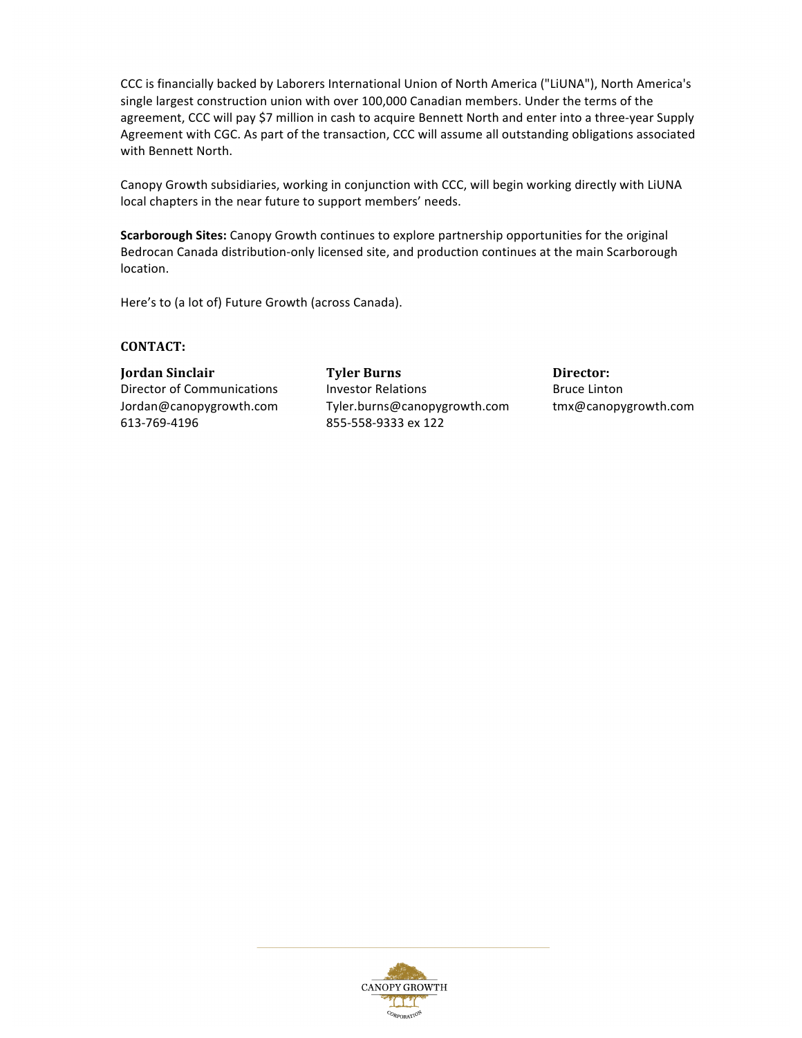CCC is financially backed by Laborers International Union of North America ("LiUNA"), North America's single largest construction union with over 100,000 Canadian members. Under the terms of the agreement, CCC will pay \$7 million in cash to acquire Bennett North and enter into a three-year Supply Agreement with CGC. As part of the transaction, CCC will assume all outstanding obligations associated with Bennett North.

Canopy Growth subsidiaries, working in conjunction with CCC, will begin working directly with LiUNA local chapters in the near future to support members' needs.

**Scarborough Sites:** Canopy Growth continues to explore partnership opportunities for the original Bedrocan Canada distribution-only licensed site, and production continues at the main Scarborough location.

Here's to (a lot of) Future Growth (across Canada).

#### **CONTACT:**

613-769-4196 855-558-9333 ex 122

**Iordan Sinclair** *COVEC* **<b>COVEC COVEC Tyler Burns Director: Director:** Director of Communications and Investor Relations and Bruce Linton Jordan@canopygrowth.com Tyler.burns@canopygrowth.com tmx@canopygrowth.com